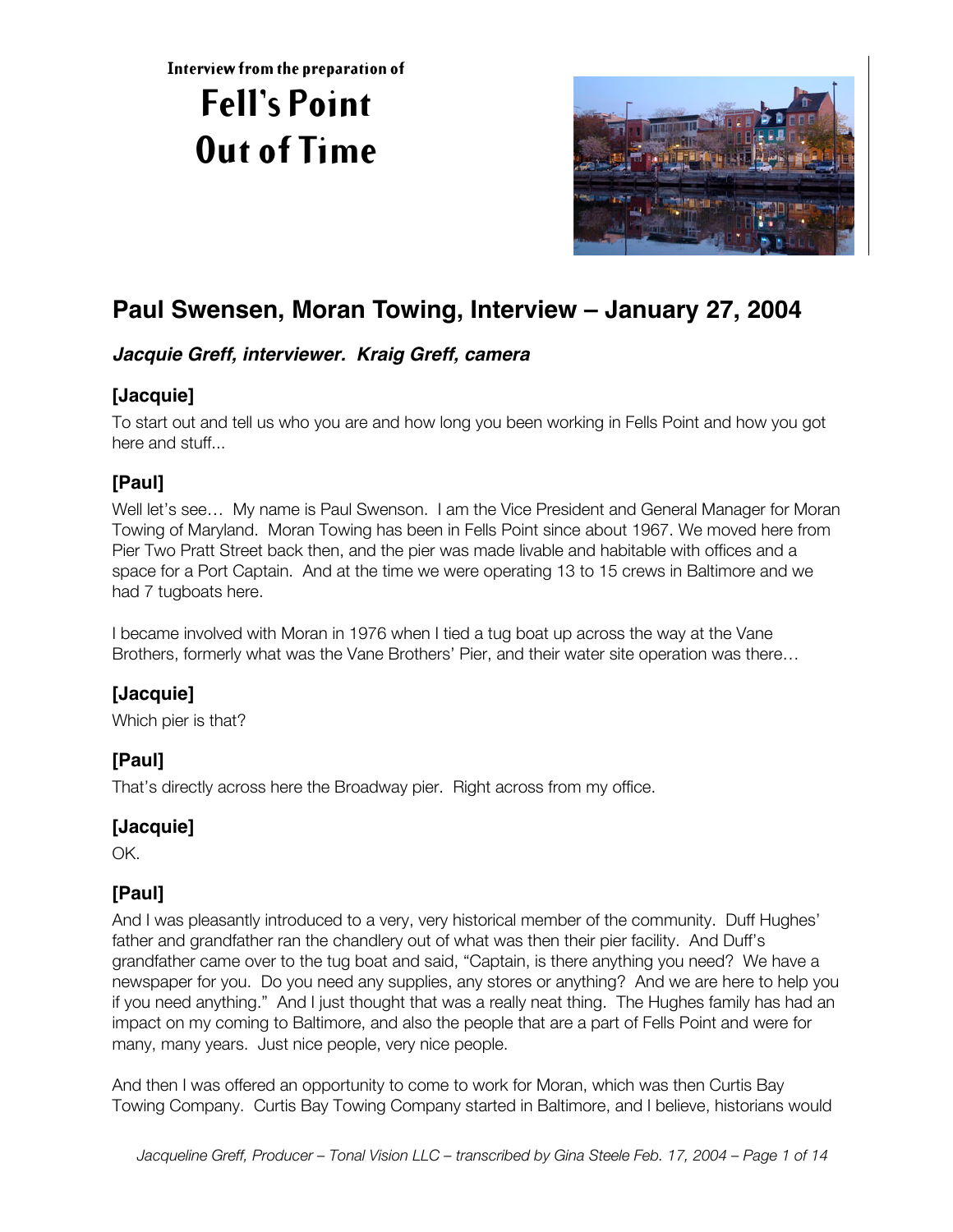**Interview from the preparation of**

# **Fell's Point Out of Time**



# **Paul Swensen, Moran Towing, Interview – January 27, 2004**

## **Jacquie Greff, interviewer. Kraig Greff, camera**

## **[Jacquie]**

To start out and tell us who you are and how long you been working in Fells Point and how you got here and stuff...

# **[Paul]**

Well let's see... My name is Paul Swenson. I am the Vice President and General Manager for Moran Towing of Maryland. Moran Towing has been in Fells Point since about 1967. We moved here from Pier Two Pratt Street back then, and the pier was made livable and habitable with offices and a space for a Port Captain. And at the time we were operating 13 to 15 crews in Baltimore and we had 7 tugboats here.

I became involved with Moran in 1976 when I tied a tug boat up across the way at the Vane Brothers, formerly what was the Vane Brothers' Pier, and their water site operation was there…

# **[Jacquie]**

Which pier is that?

# **[Paul]**

That's directly across here the Broadway pier. Right across from my office.

## **[Jacquie]**

OK.

# **[Paul]**

And I was pleasantly introduced to a very, very historical member of the community. Duff Hughes' father and grandfather ran the chandlery out of what was then their pier facility. And Duff's grandfather came over to the tug boat and said, "Captain, is there anything you need? We have a newspaper for you. Do you need any supplies, any stores or anything? And we are here to help you if you need anything." And I just thought that was a really neat thing. The Hughes family has had an impact on my coming to Baltimore, and also the people that are a part of Fells Point and were for many, many years. Just nice people, very nice people.

And then I was offered an opportunity to come to work for Moran, which was then Curtis Bay Towing Company. Curtis Bay Towing Company started in Baltimore, and I believe, historians would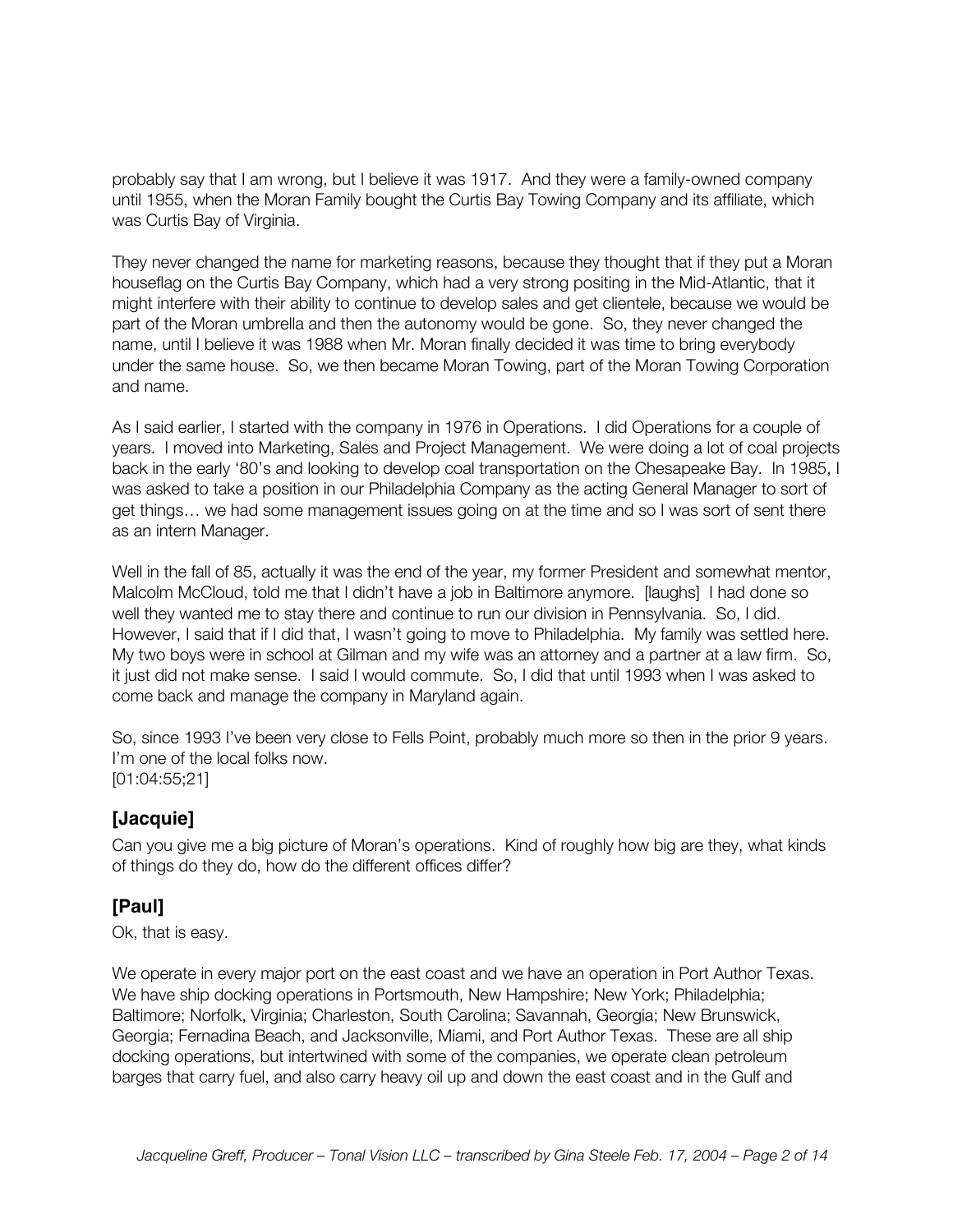probably say that I am wrong, but I believe it was 1917. And they were a family-owned company until 1955, when the Moran Family bought the Curtis Bay Towing Company and its affiliate, which was Curtis Bay of Virginia.

They never changed the name for marketing reasons, because they thought that if they put a Moran houseflag on the Curtis Bay Company, which had a very strong positing in the Mid-Atlantic, that it might interfere with their ability to continue to develop sales and get clientele, because we would be part of the Moran umbrella and then the autonomy would be gone. So, they never changed the name, until I believe it was 1988 when Mr. Moran finally decided it was time to bring everybody under the same house. So, we then became Moran Towing, part of the Moran Towing Corporation and name.

As I said earlier, I started with the company in 1976 in Operations. I did Operations for a couple of years. I moved into Marketing, Sales and Project Management. We were doing a lot of coal projects back in the early '80's and looking to develop coal transportation on the Chesapeake Bay. In 1985, I was asked to take a position in our Philadelphia Company as the acting General Manager to sort of get things… we had some management issues going on at the time and so I was sort of sent there as an intern Manager.

Well in the fall of 85, actually it was the end of the year, my former President and somewhat mentor, Malcolm McCloud, told me that I didn't have a job in Baltimore anymore. [laughs] I had done so well they wanted me to stay there and continue to run our division in Pennsylvania. So, I did. However, I said that if I did that, I wasn't going to move to Philadelphia. My family was settled here. My two boys were in school at Gilman and my wife was an attorney and a partner at a law firm. So, it just did not make sense. I said I would commute. So, I did that until 1993 when I was asked to come back and manage the company in Maryland again.

So, since 1993 I've been very close to Fells Point, probably much more so then in the prior 9 years. I'm one of the local folks now. [01:04:55;21]

#### **[Jacquie]**

Can you give me a big picture of Moran's operations. Kind of roughly how big are they, what kinds of things do they do, how do the different offices differ?

## **[Paul]**

Ok, that is easy.

We operate in every major port on the east coast and we have an operation in Port Author Texas. We have ship docking operations in Portsmouth, New Hampshire; New York; Philadelphia; Baltimore; Norfolk, Virginia; Charleston, South Carolina; Savannah, Georgia; New Brunswick, Georgia; Fernadina Beach, and Jacksonville, Miami, and Port Author Texas. These are all ship docking operations, but intertwined with some of the companies, we operate clean petroleum barges that carry fuel, and also carry heavy oil up and down the east coast and in the Gulf and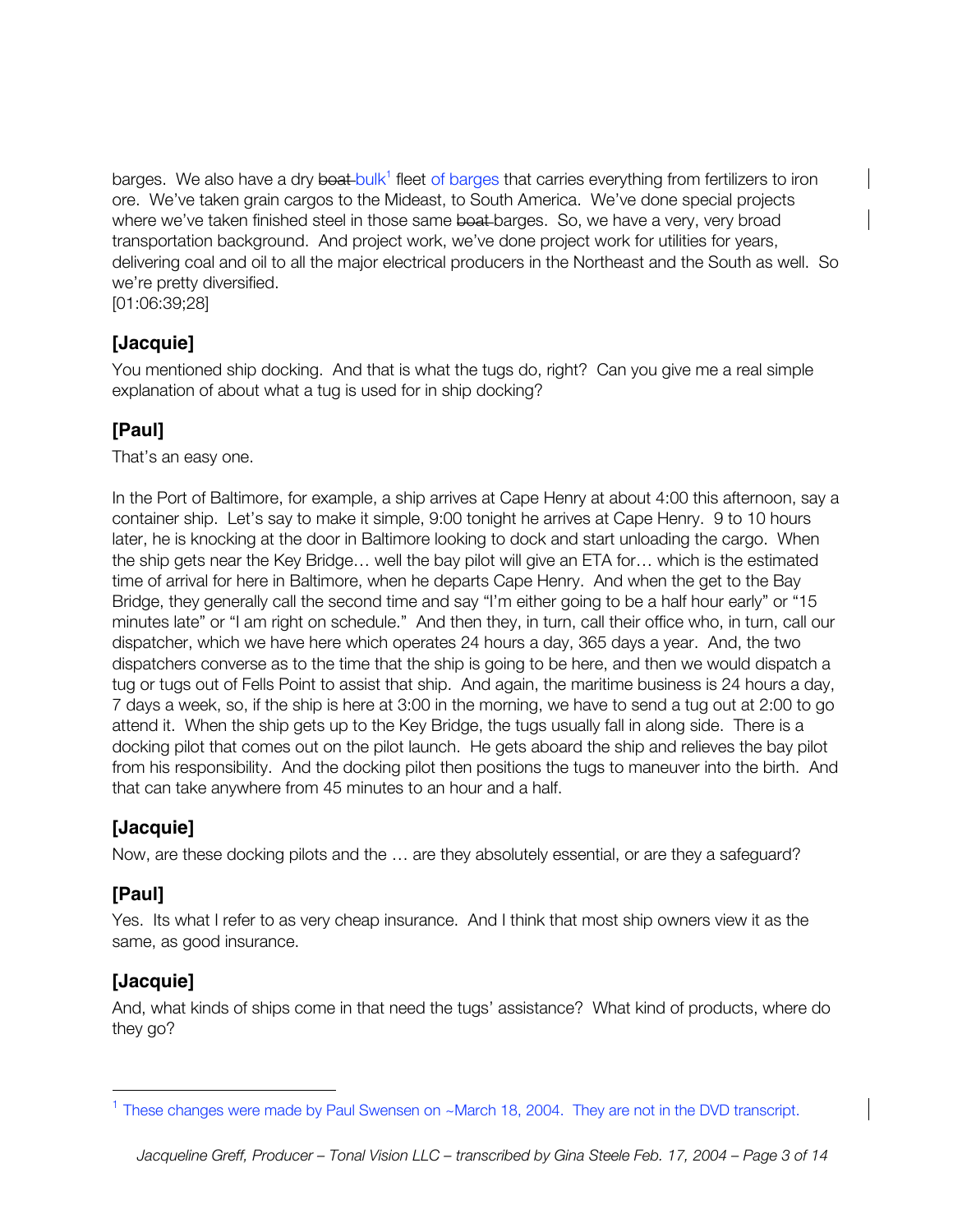barges. We also have a dry boat bulk<sup>1</sup> fleet of barges that carries everything from fertilizers to iron ore. We've taken grain cargos to the Mideast, to South America. We've done special projects where we've taken finished steel in those same boat-barges. So, we have a very, very broad transportation background. And project work, we've done project work for utilities for years, delivering coal and oil to all the major electrical producers in the Northeast and the South as well. So we're pretty diversified.

[01:06:39;28]

## **[Jacquie]**

You mentioned ship docking. And that is what the tugs do, right? Can you give me a real simple explanation of about what a tug is used for in ship docking?

# **[Paul]**

That's an easy one.

In the Port of Baltimore, for example, a ship arrives at Cape Henry at about 4:00 this afternoon, say a container ship. Let's say to make it simple, 9:00 tonight he arrives at Cape Henry. 9 to 10 hours later, he is knocking at the door in Baltimore looking to dock and start unloading the cargo. When the ship gets near the Key Bridge… well the bay pilot will give an ETA for… which is the estimated time of arrival for here in Baltimore, when he departs Cape Henry. And when the get to the Bay Bridge, they generally call the second time and say "I'm either going to be a half hour early" or "15 minutes late" or "I am right on schedule." And then they, in turn, call their office who, in turn, call our dispatcher, which we have here which operates 24 hours a day, 365 days a year. And, the two dispatchers converse as to the time that the ship is going to be here, and then we would dispatch a tug or tugs out of Fells Point to assist that ship. And again, the maritime business is 24 hours a day, 7 days a week, so, if the ship is here at 3:00 in the morning, we have to send a tug out at 2:00 to go attend it. When the ship gets up to the Key Bridge, the tugs usually fall in along side. There is a docking pilot that comes out on the pilot launch. He gets aboard the ship and relieves the bay pilot from his responsibility. And the docking pilot then positions the tugs to maneuver into the birth. And that can take anywhere from 45 minutes to an hour and a half.

## **[Jacquie]**

Now, are these docking pilots and the … are they absolutely essential, or are they a safeguard?

## **[Paul]**

Yes. Its what I refer to as very cheap insurance. And I think that most ship owners view it as the same, as good insurance.

## **[Jacquie]**

And, what kinds of ships come in that need the tugs' assistance? What kind of products, where do they go?

<sup>&</sup>lt;sup>1</sup> These changes were made by Paul Swensen on ~March 18, 2004. They are not in the DVD transcript.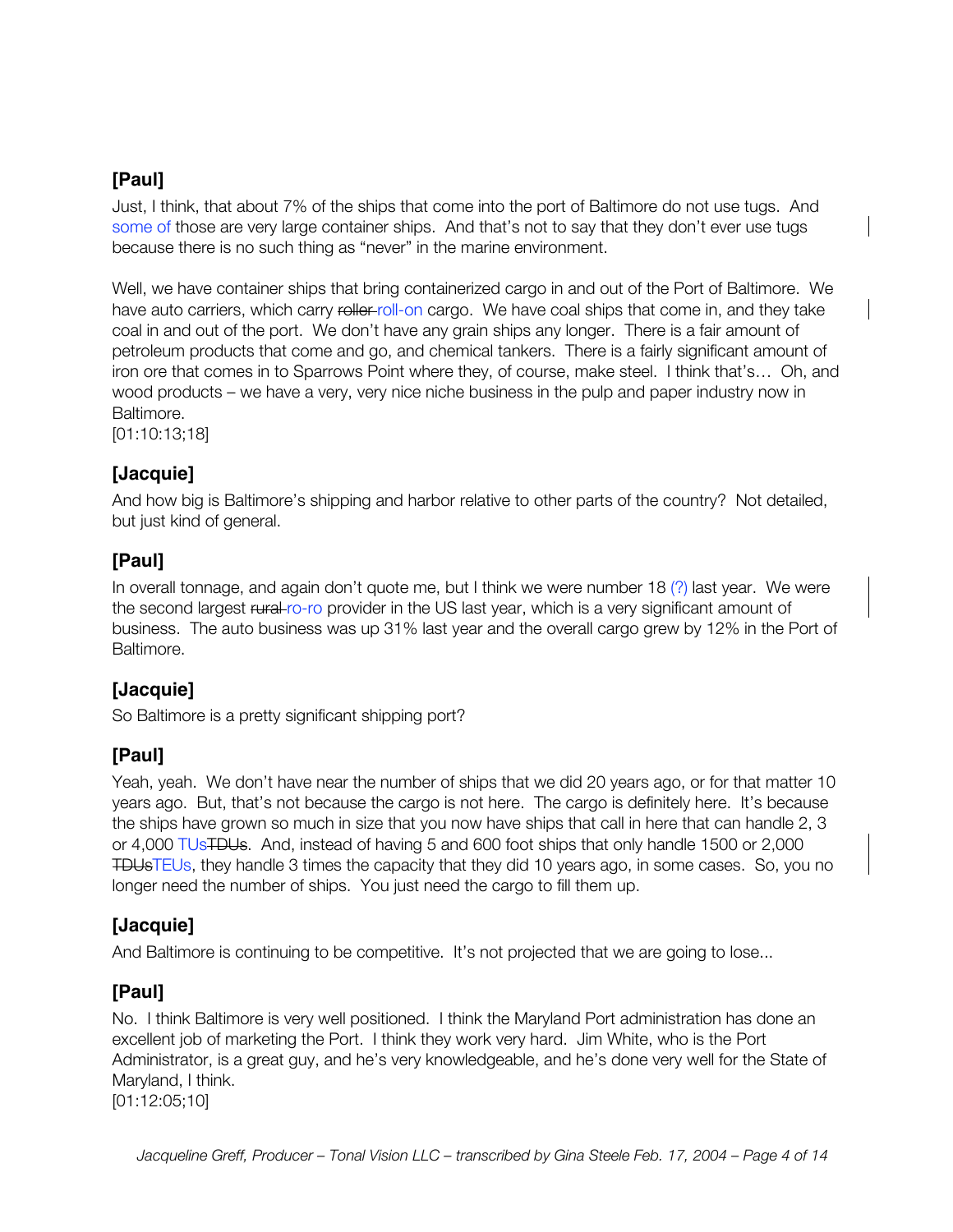Just, I think, that about 7% of the ships that come into the port of Baltimore do not use tugs. And some of those are very large container ships. And that's not to say that they don't ever use tugs because there is no such thing as "never" in the marine environment.

Well, we have container ships that bring containerized cargo in and out of the Port of Baltimore. We have auto carriers, which carry roller-roll-on cargo. We have coal ships that come in, and they take coal in and out of the port. We don't have any grain ships any longer. There is a fair amount of petroleum products that come and go, and chemical tankers. There is a fairly significant amount of iron ore that comes in to Sparrows Point where they, of course, make steel. I think that's… Oh, and wood products – we have a very, very nice niche business in the pulp and paper industry now in Baltimore.

[01:10:13;18]

# **[Jacquie]**

And how big is Baltimore's shipping and harbor relative to other parts of the country? Not detailed, but just kind of general.

## **[Paul]**

In overall tonnage, and again don't quote me, but I think we were number 18 (?) last year. We were the second largest rural ro-ro provider in the US last year, which is a very significant amount of business. The auto business was up 31% last year and the overall cargo grew by 12% in the Port of Baltimore.

## **[Jacquie]**

So Baltimore is a pretty significant shipping port?

## **[Paul]**

Yeah, yeah. We don't have near the number of ships that we did 20 years ago, or for that matter 10 years ago. But, that's not because the cargo is not here. The cargo is definitely here. It's because the ships have grown so much in size that you now have ships that call in here that can handle 2, 3 or 4,000 TUsTDUs. And, instead of having 5 and 600 foot ships that only handle 1500 or 2,000 TDUsTEUs, they handle 3 times the capacity that they did 10 years ago, in some cases. So, you no longer need the number of ships. You just need the cargo to fill them up.

## **[Jacquie]**

And Baltimore is continuing to be competitive. It's not projected that we are going to lose...

## **[Paul]**

No. I think Baltimore is very well positioned. I think the Maryland Port administration has done an excellent job of marketing the Port. I think they work very hard. Jim White, who is the Port Administrator, is a great guy, and he's very knowledgeable, and he's done very well for the State of Maryland, I think.

[01:12:05;10]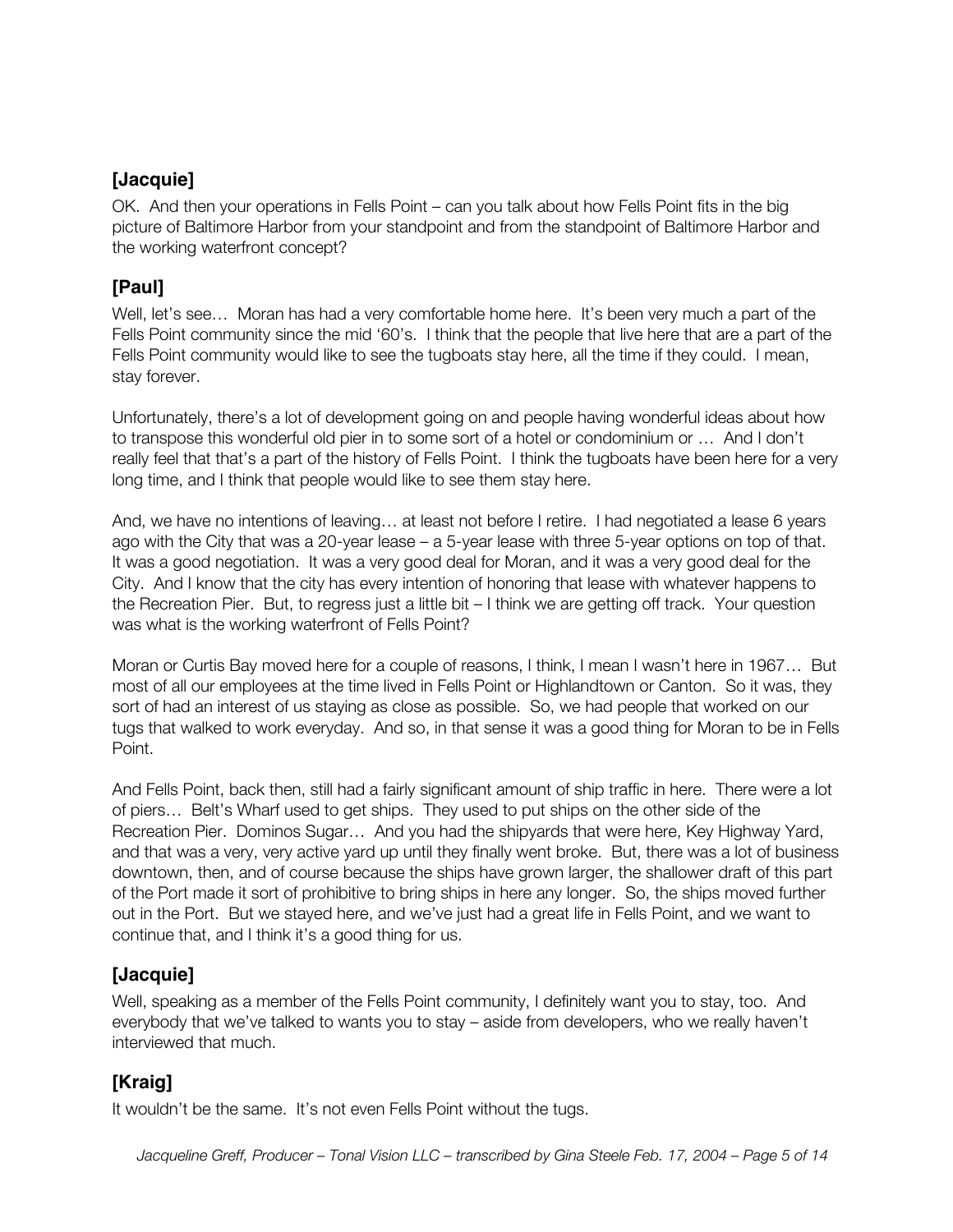## **[Jacquie]**

OK. And then your operations in Fells Point – can you talk about how Fells Point fits in the big picture of Baltimore Harbor from your standpoint and from the standpoint of Baltimore Harbor and the working waterfront concept?

# **[Paul]**

Well, let's see... Moran has had a very comfortable home here. It's been very much a part of the Fells Point community since the mid '60's. I think that the people that live here that are a part of the Fells Point community would like to see the tugboats stay here, all the time if they could. I mean, stay forever.

Unfortunately, there's a lot of development going on and people having wonderful ideas about how to transpose this wonderful old pier in to some sort of a hotel or condominium or … And I don't really feel that that's a part of the history of Fells Point. I think the tugboats have been here for a very long time, and I think that people would like to see them stay here.

And, we have no intentions of leaving… at least not before I retire. I had negotiated a lease 6 years ago with the City that was a 20-year lease – a 5-year lease with three 5-year options on top of that. It was a good negotiation. It was a very good deal for Moran, and it was a very good deal for the City. And I know that the city has every intention of honoring that lease with whatever happens to the Recreation Pier. But, to regress just a little bit – I think we are getting off track. Your question was what is the working waterfront of Fells Point?

Moran or Curtis Bay moved here for a couple of reasons, I think, I mean I wasn't here in 1967… But most of all our employees at the time lived in Fells Point or Highlandtown or Canton. So it was, they sort of had an interest of us staying as close as possible. So, we had people that worked on our tugs that walked to work everyday. And so, in that sense it was a good thing for Moran to be in Fells Point.

And Fells Point, back then, still had a fairly significant amount of ship traffic in here. There were a lot of piers… Belt's Wharf used to get ships. They used to put ships on the other side of the Recreation Pier. Dominos Sugar… And you had the shipyards that were here, Key Highway Yard, and that was a very, very active yard up until they finally went broke. But, there was a lot of business downtown, then, and of course because the ships have grown larger, the shallower draft of this part of the Port made it sort of prohibitive to bring ships in here any longer. So, the ships moved further out in the Port. But we stayed here, and we've just had a great life in Fells Point, and we want to continue that, and I think it's a good thing for us.

## **[Jacquie]**

Well, speaking as a member of the Fells Point community, I definitely want you to stay, too. And everybody that we've talked to wants you to stay – aside from developers, who we really haven't interviewed that much.

# **[Kraig]**

It wouldn't be the same. It's not even Fells Point without the tugs.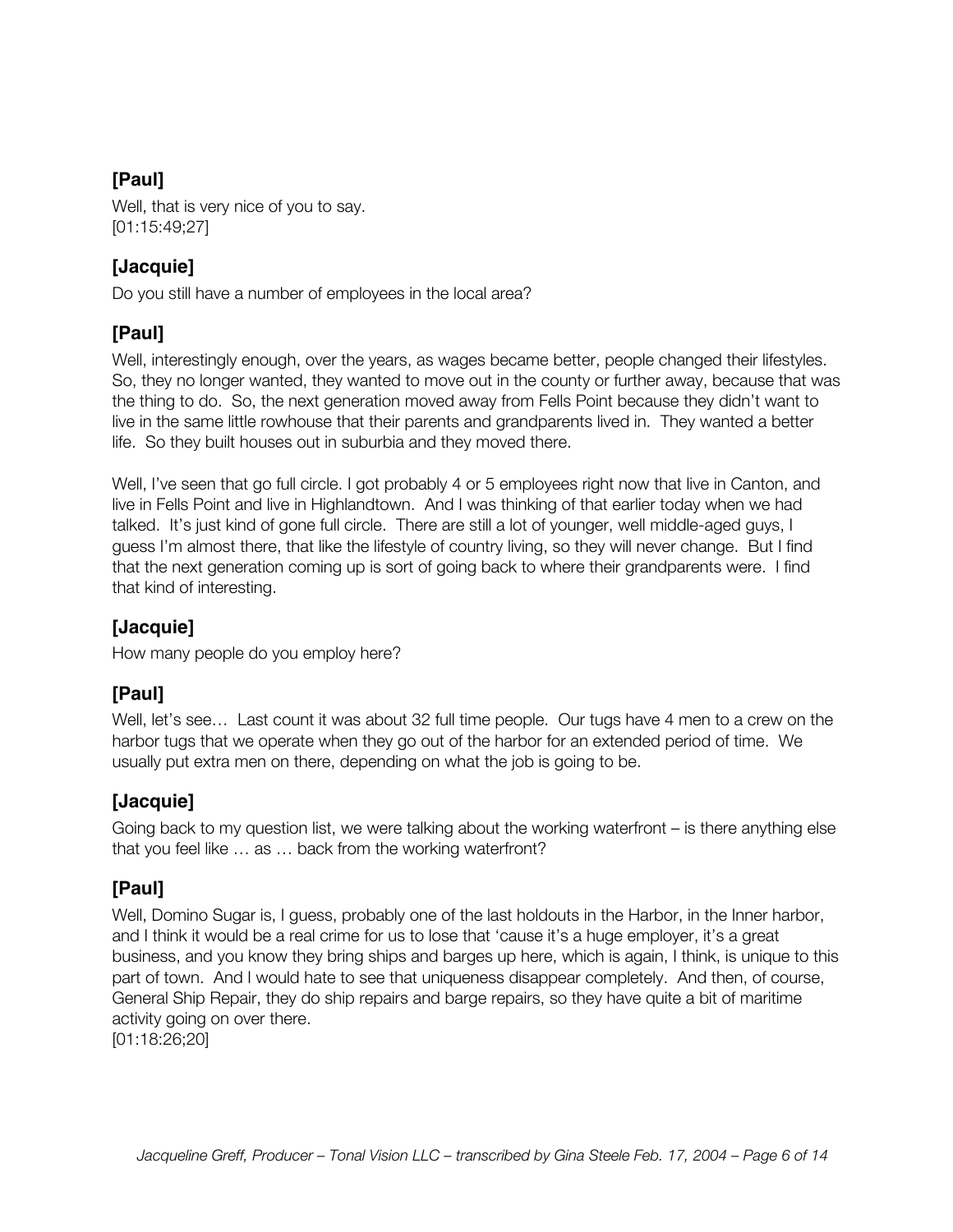Well, that is very nice of you to say. [01:15:49;27]

# **[Jacquie]**

Do you still have a number of employees in the local area?

# **[Paul]**

Well, interestingly enough, over the years, as wages became better, people changed their lifestyles. So, they no longer wanted, they wanted to move out in the county or further away, because that was the thing to do. So, the next generation moved away from Fells Point because they didn't want to live in the same little rowhouse that their parents and grandparents lived in. They wanted a better life. So they built houses out in suburbia and they moved there.

Well, I've seen that go full circle. I got probably 4 or 5 employees right now that live in Canton, and live in Fells Point and live in Highlandtown. And I was thinking of that earlier today when we had talked. It's just kind of gone full circle. There are still a lot of younger, well middle-aged guys, I guess I'm almost there, that like the lifestyle of country living, so they will never change. But I find that the next generation coming up is sort of going back to where their grandparents were. I find that kind of interesting.

# **[Jacquie]**

How many people do you employ here?

# **[Paul]**

Well, let's see... Last count it was about 32 full time people. Our tugs have 4 men to a crew on the harbor tugs that we operate when they go out of the harbor for an extended period of time. We usually put extra men on there, depending on what the job is going to be.

## **[Jacquie]**

Going back to my question list, we were talking about the working waterfront – is there anything else that you feel like … as … back from the working waterfront?

# **[Paul]**

Well, Domino Sugar is, I guess, probably one of the last holdouts in the Harbor, in the Inner harbor, and I think it would be a real crime for us to lose that 'cause it's a huge employer, it's a great business, and you know they bring ships and barges up here, which is again, I think, is unique to this part of town. And I would hate to see that uniqueness disappear completely. And then, of course, General Ship Repair, they do ship repairs and barge repairs, so they have quite a bit of maritime activity going on over there.

[01:18:26;20]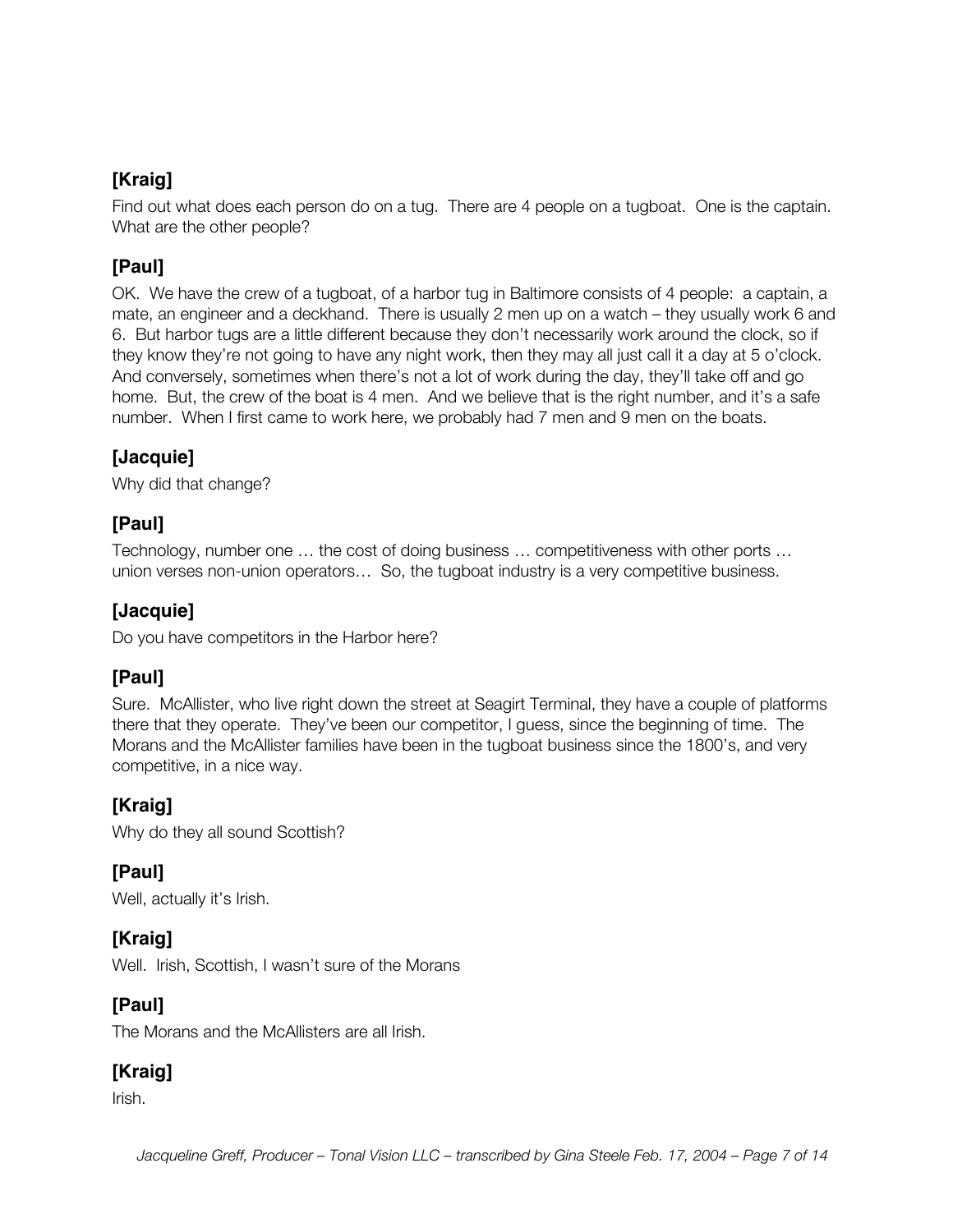# **[Kraig]**

Find out what does each person do on a tug. There are 4 people on a tugboat. One is the captain. What are the other people?

# **[Paul]**

OK. We have the crew of a tugboat, of a harbor tug in Baltimore consists of 4 people: a captain, a mate, an engineer and a deckhand. There is usually 2 men up on a watch – they usually work 6 and 6. But harbor tugs are a little different because they don't necessarily work around the clock, so if they know they're not going to have any night work, then they may all just call it a day at 5 o'clock. And conversely, sometimes when there's not a lot of work during the day, they'll take off and go home. But, the crew of the boat is 4 men. And we believe that is the right number, and it's a safe number. When I first came to work here, we probably had 7 men and 9 men on the boats.

# **[Jacquie]**

Why did that change?

# **[Paul]**

Technology, number one … the cost of doing business … competitiveness with other ports … union verses non-union operators… So, the tugboat industry is a very competitive business.

# **[Jacquie]**

Do you have competitors in the Harbor here?

# **[Paul]**

Sure. McAllister, who live right down the street at Seagirt Terminal, they have a couple of platforms there that they operate. They've been our competitor, I guess, since the beginning of time. The Morans and the McAllister families have been in the tugboat business since the 1800's, and very competitive, in a nice way.

# **[Kraig]**

Why do they all sound Scottish?

# **[Paul]**

Well, actually it's Irish.

# **[Kraig]**

Well. Irish, Scottish, I wasn't sure of the Morans

# **[Paul]**

The Morans and the McAllisters are all Irish.

# **[Kraig]**

Irish.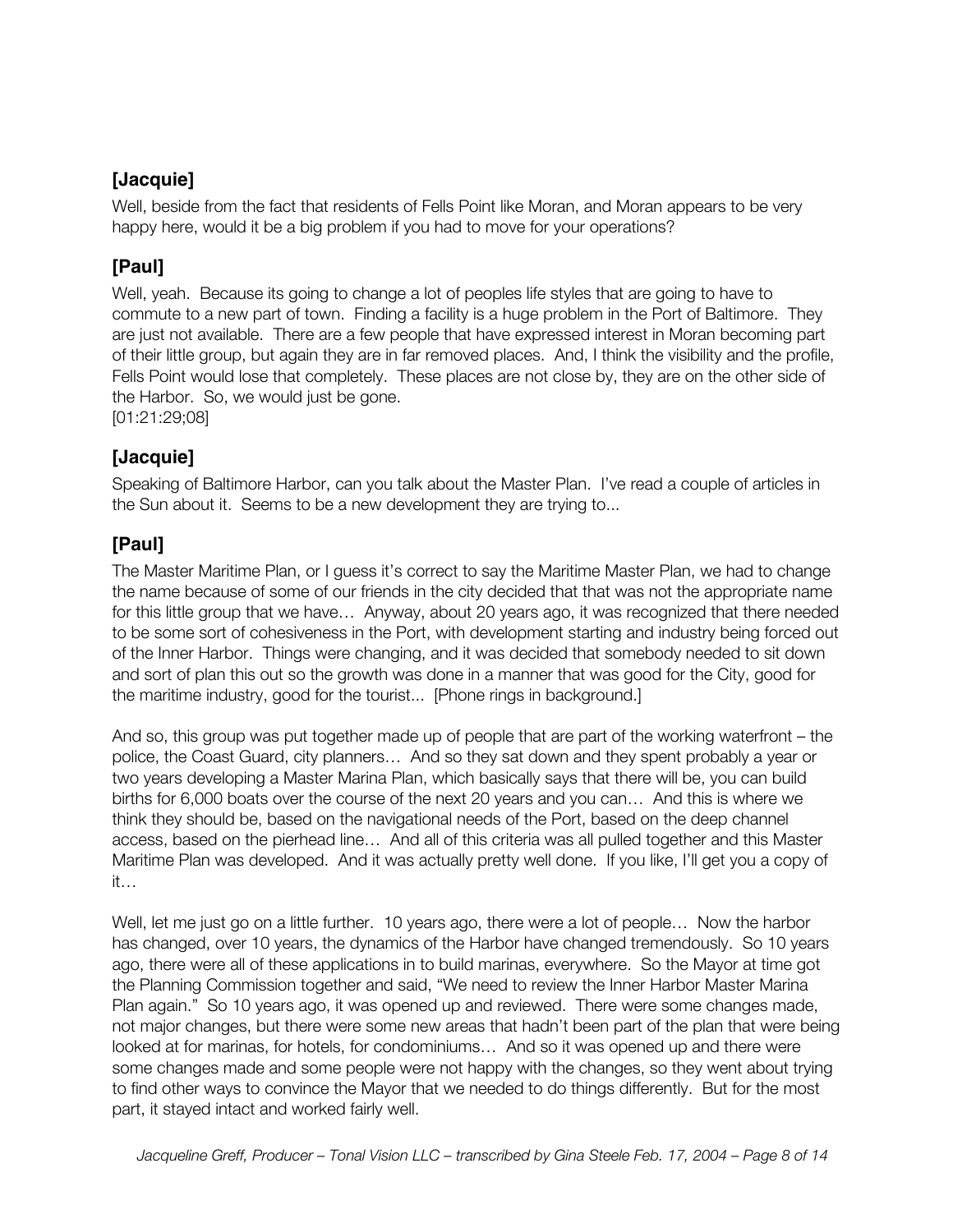## **[Jacquie]**

Well, beside from the fact that residents of Fells Point like Moran, and Moran appears to be very happy here, would it be a big problem if you had to move for your operations?

# **[Paul]**

Well, yeah. Because its going to change a lot of peoples life styles that are going to have to commute to a new part of town. Finding a facility is a huge problem in the Port of Baltimore. They are just not available. There are a few people that have expressed interest in Moran becoming part of their little group, but again they are in far removed places. And, I think the visibility and the profile, Fells Point would lose that completely. These places are not close by, they are on the other side of the Harbor. So, we would just be gone.

[01:21:29;08]

#### **[Jacquie]**

Speaking of Baltimore Harbor, can you talk about the Master Plan. I've read a couple of articles in the Sun about it. Seems to be a new development they are trying to...

# **[Paul]**

The Master Maritime Plan, or I guess it's correct to say the Maritime Master Plan, we had to change the name because of some of our friends in the city decided that that was not the appropriate name for this little group that we have… Anyway, about 20 years ago, it was recognized that there needed to be some sort of cohesiveness in the Port, with development starting and industry being forced out of the Inner Harbor. Things were changing, and it was decided that somebody needed to sit down and sort of plan this out so the growth was done in a manner that was good for the City, good for the maritime industry, good for the tourist... [Phone rings in background.]

And so, this group was put together made up of people that are part of the working waterfront – the police, the Coast Guard, city planners… And so they sat down and they spent probably a year or two years developing a Master Marina Plan, which basically says that there will be, you can build births for 6,000 boats over the course of the next 20 years and you can… And this is where we think they should be, based on the navigational needs of the Port, based on the deep channel access, based on the pierhead line… And all of this criteria was all pulled together and this Master Maritime Plan was developed. And it was actually pretty well done. If you like, I'll get you a copy of it…

Well, let me just go on a little further. 10 years ago, there were a lot of people... Now the harbor has changed, over 10 years, the dynamics of the Harbor have changed tremendously. So 10 years ago, there were all of these applications in to build marinas, everywhere. So the Mayor at time got the Planning Commission together and said, "We need to review the Inner Harbor Master Marina Plan again." So 10 years ago, it was opened up and reviewed. There were some changes made, not major changes, but there were some new areas that hadn't been part of the plan that were being looked at for marinas, for hotels, for condominiums… And so it was opened up and there were some changes made and some people were not happy with the changes, so they went about trying to find other ways to convince the Mayor that we needed to do things differently. But for the most part, it stayed intact and worked fairly well.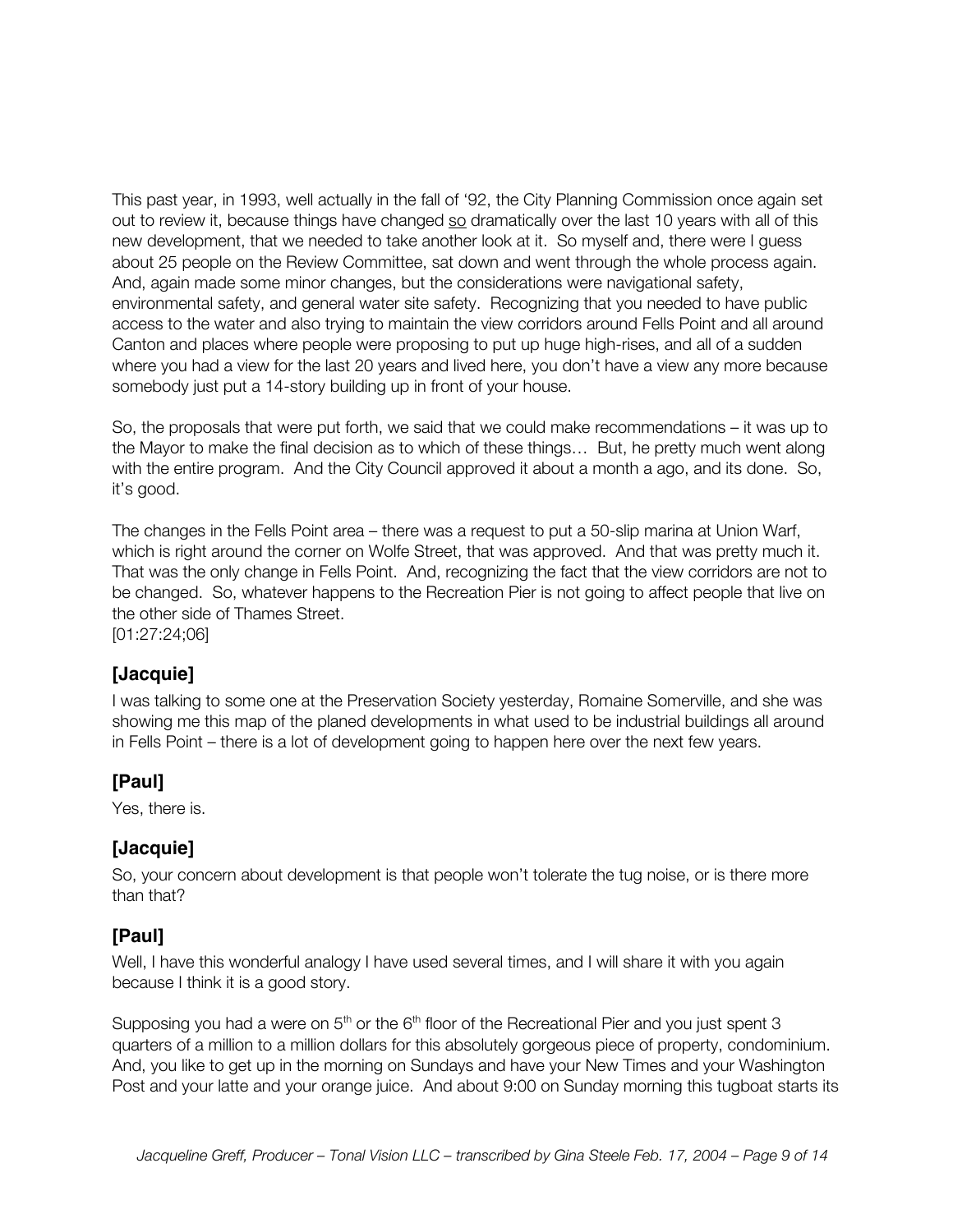This past year, in 1993, well actually in the fall of '92, the City Planning Commission once again set out to review it, because things have changed so dramatically over the last 10 years with all of this new development, that we needed to take another look at it. So myself and, there were I guess about 25 people on the Review Committee, sat down and went through the whole process again. And, again made some minor changes, but the considerations were navigational safety, environmental safety, and general water site safety. Recognizing that you needed to have public access to the water and also trying to maintain the view corridors around Fells Point and all around Canton and places where people were proposing to put up huge high-rises, and all of a sudden where you had a view for the last 20 years and lived here, you don't have a view any more because somebody just put a 14-story building up in front of your house.

So, the proposals that were put forth, we said that we could make recommendations – it was up to the Mayor to make the final decision as to which of these things… But, he pretty much went along with the entire program. And the City Council approved it about a month a ago, and its done. So, it's good.

The changes in the Fells Point area – there was a request to put a 50-slip marina at Union Warf, which is right around the corner on Wolfe Street, that was approved. And that was pretty much it. That was the only change in Fells Point. And, recognizing the fact that the view corridors are not to be changed. So, whatever happens to the Recreation Pier is not going to affect people that live on the other side of Thames Street.

[01:27:24;06]

#### **[Jacquie]**

I was talking to some one at the Preservation Society yesterday, Romaine Somerville, and she was showing me this map of the planed developments in what used to be industrial buildings all around in Fells Point – there is a lot of development going to happen here over the next few years.

#### **[Paul]**

Yes, there is.

#### **[Jacquie]**

So, your concern about development is that people won't tolerate the tug noise, or is there more than that?

#### **[Paul]**

Well, I have this wonderful analogy I have used several times, and I will share it with you again because I think it is a good story.

Supposing you had a were on  $5<sup>th</sup>$  or the  $6<sup>th</sup>$  floor of the Recreational Pier and you just spent 3 quarters of a million to a million dollars for this absolutely gorgeous piece of property, condominium. And, you like to get up in the morning on Sundays and have your New Times and your Washington Post and your latte and your orange juice. And about 9:00 on Sunday morning this tugboat starts its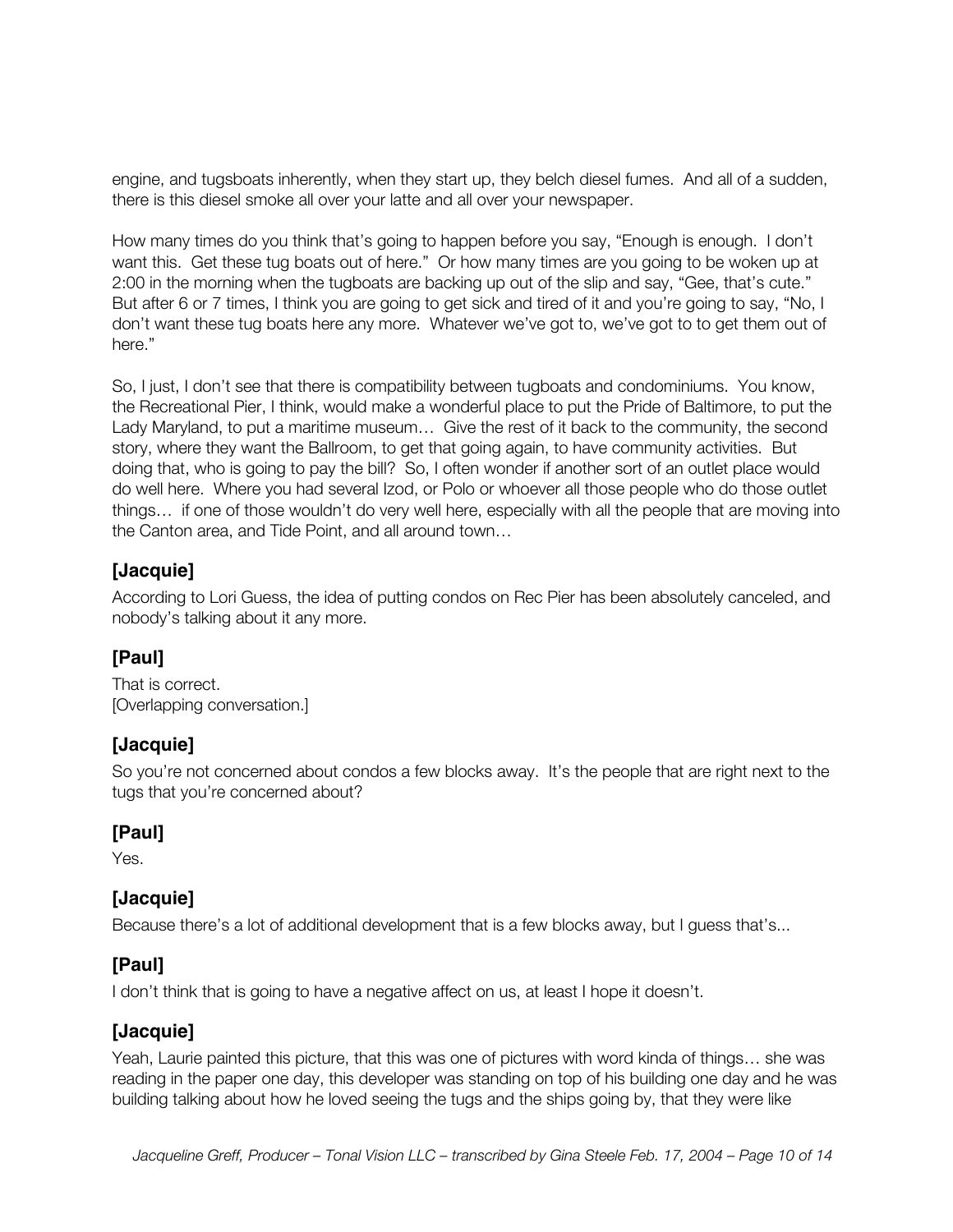engine, and tugsboats inherently, when they start up, they belch diesel fumes. And all of a sudden, there is this diesel smoke all over your latte and all over your newspaper.

How many times do you think that's going to happen before you say, "Enough is enough. I don't want this. Get these tug boats out of here." Or how many times are you going to be woken up at 2:00 in the morning when the tugboats are backing up out of the slip and say, "Gee, that's cute." But after 6 or 7 times, I think you are going to get sick and tired of it and you're going to say, "No, I don't want these tug boats here any more. Whatever we've got to, we've got to to get them out of here."

So, I just, I don't see that there is compatibility between tugboats and condominiums. You know, the Recreational Pier, I think, would make a wonderful place to put the Pride of Baltimore, to put the Lady Maryland, to put a maritime museum… Give the rest of it back to the community, the second story, where they want the Ballroom, to get that going again, to have community activities. But doing that, who is going to pay the bill? So, I often wonder if another sort of an outlet place would do well here. Where you had several Izod, or Polo or whoever all those people who do those outlet things… if one of those wouldn't do very well here, especially with all the people that are moving into the Canton area, and Tide Point, and all around town…

# **[Jacquie]**

According to Lori Guess, the idea of putting condos on Rec Pier has been absolutely canceled, and nobody's talking about it any more.

## **[Paul]**

That is correct. [Overlapping conversation.]

## **[Jacquie]**

So you're not concerned about condos a few blocks away. It's the people that are right next to the tugs that you're concerned about?

## **[Paul]**

Yes.

## **[Jacquie]**

Because there's a lot of additional development that is a few blocks away, but I guess that's...

## **[Paul]**

I don't think that is going to have a negative affect on us, at least I hope it doesn't.

## **[Jacquie]**

Yeah, Laurie painted this picture, that this was one of pictures with word kinda of things… she was reading in the paper one day, this developer was standing on top of his building one day and he was building talking about how he loved seeing the tugs and the ships going by, that they were like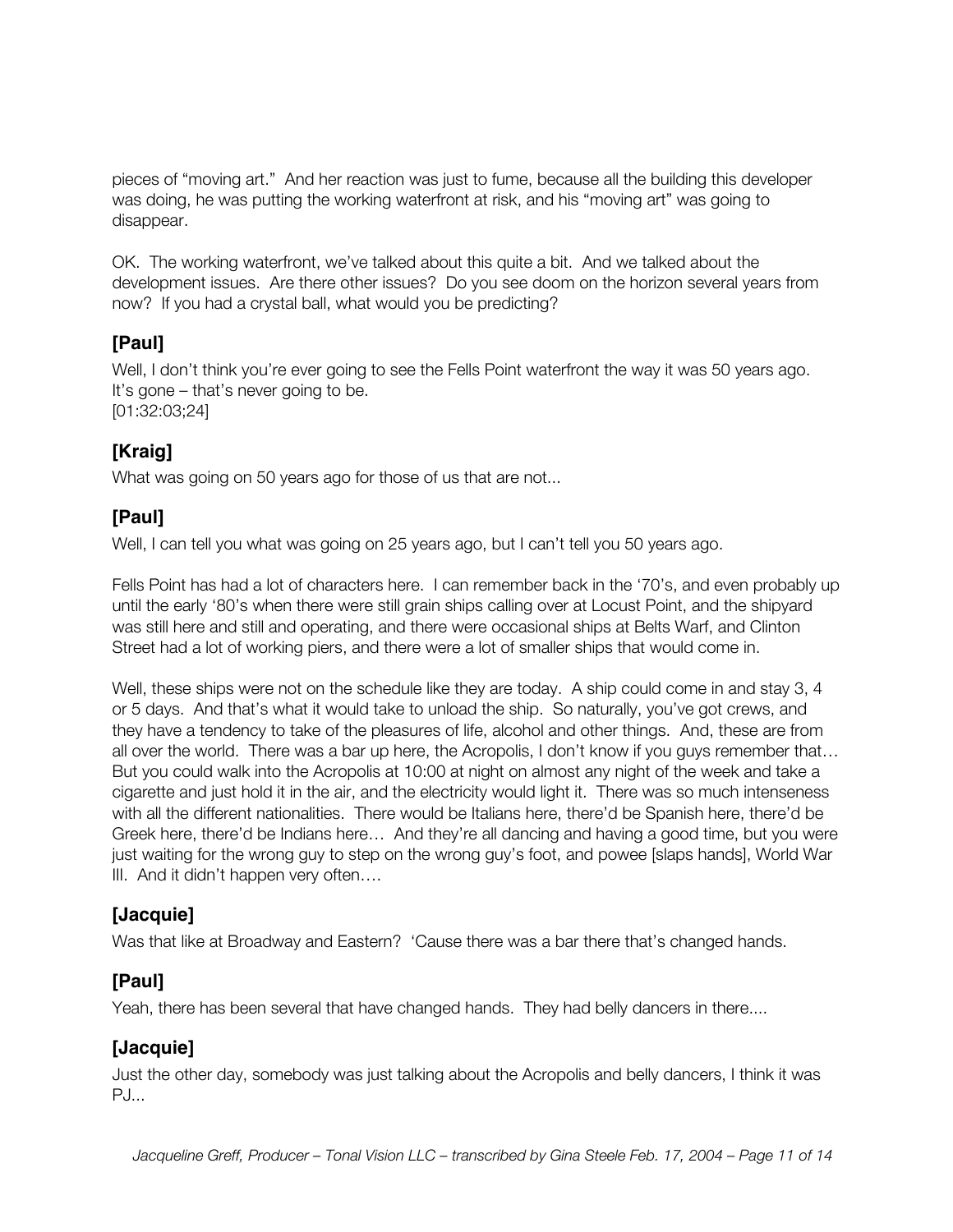pieces of "moving art." And her reaction was just to fume, because all the building this developer was doing, he was putting the working waterfront at risk, and his "moving art" was going to disappear.

OK. The working waterfront, we've talked about this quite a bit. And we talked about the development issues. Are there other issues? Do you see doom on the horizon several years from now? If you had a crystal ball, what would you be predicting?

# **[Paul]**

Well, I don't think you're ever going to see the Fells Point waterfront the way it was 50 years ago. It's gone – that's never going to be. [01:32:03;24]

# **[Kraig]**

What was going on 50 years ago for those of us that are not...

# **[Paul]**

Well, I can tell you what was going on 25 years ago, but I can't tell you 50 years ago.

Fells Point has had a lot of characters here. I can remember back in the '70's, and even probably up until the early '80's when there were still grain ships calling over at Locust Point, and the shipyard was still here and still and operating, and there were occasional ships at Belts Warf, and Clinton Street had a lot of working piers, and there were a lot of smaller ships that would come in.

Well, these ships were not on the schedule like they are today. A ship could come in and stay 3, 4 or 5 days. And that's what it would take to unload the ship. So naturally, you've got crews, and they have a tendency to take of the pleasures of life, alcohol and other things. And, these are from all over the world. There was a bar up here, the Acropolis, I don't know if you guys remember that… But you could walk into the Acropolis at 10:00 at night on almost any night of the week and take a cigarette and just hold it in the air, and the electricity would light it. There was so much intenseness with all the different nationalities. There would be Italians here, there'd be Spanish here, there'd be Greek here, there'd be Indians here… And they're all dancing and having a good time, but you were just waiting for the wrong guy to step on the wrong guy's foot, and powee [slaps hands], World War III. And it didn't happen very often….

## **[Jacquie]**

Was that like at Broadway and Eastern? 'Cause there was a bar there that's changed hands.

# **[Paul]**

Yeah, there has been several that have changed hands. They had belly dancers in there....

## **[Jacquie]**

Just the other day, somebody was just talking about the Acropolis and belly dancers, I think it was PJ...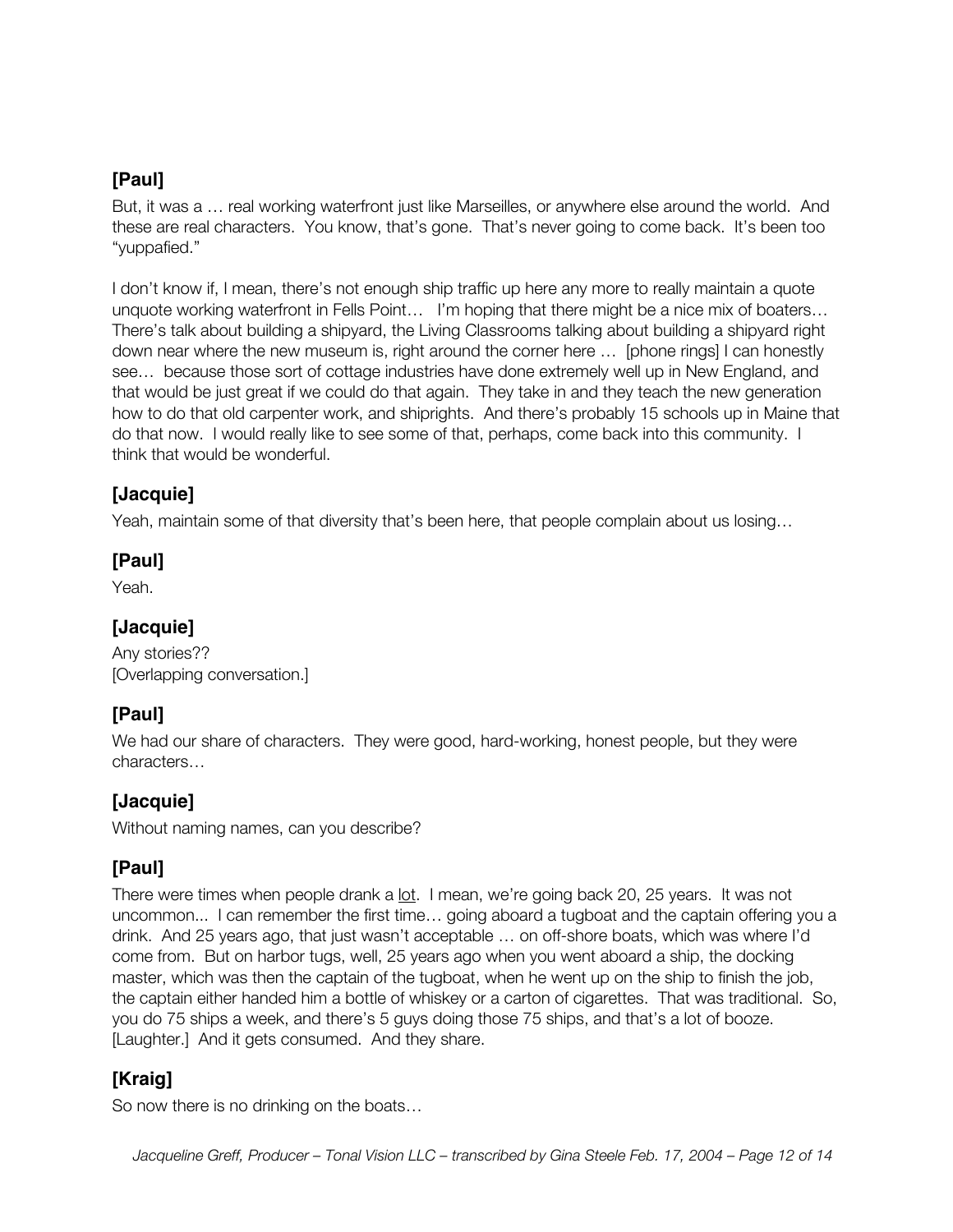But, it was a ... real working waterfront just like Marseilles, or anywhere else around the world. And these are real characters. You know, that's gone. That's never going to come back. It's been too "yuppafied."

I don't know if, I mean, there's not enough ship traffic up here any more to really maintain a quote unquote working waterfront in Fells Point… I'm hoping that there might be a nice mix of boaters… There's talk about building a shipyard, the Living Classrooms talking about building a shipyard right down near where the new museum is, right around the corner here … [phone rings] I can honestly see… because those sort of cottage industries have done extremely well up in New England, and that would be just great if we could do that again. They take in and they teach the new generation how to do that old carpenter work, and shiprights. And there's probably 15 schools up in Maine that do that now. I would really like to see some of that, perhaps, come back into this community. I think that would be wonderful.

# **[Jacquie]**

Yeah, maintain some of that diversity that's been here, that people complain about us losing…

#### **[Paul]**

Yeah.

## **[Jacquie]**

Any stories?? [Overlapping conversation.]

## **[Paul]**

We had our share of characters. They were good, hard-working, honest people, but they were characters…

## **[Jacquie]**

Without naming names, can you describe?

# **[Paul]**

There were times when people drank a lot. I mean, we're going back 20, 25 years. It was not uncommon... I can remember the first time… going aboard a tugboat and the captain offering you a drink. And 25 years ago, that just wasn't acceptable … on off-shore boats, which was where I'd come from. But on harbor tugs, well, 25 years ago when you went aboard a ship, the docking master, which was then the captain of the tugboat, when he went up on the ship to finish the job, the captain either handed him a bottle of whiskey or a carton of cigarettes. That was traditional. So, you do 75 ships a week, and there's 5 guys doing those 75 ships, and that's a lot of booze. [Laughter.] And it gets consumed. And they share.

# **[Kraig]**

So now there is no drinking on the boats…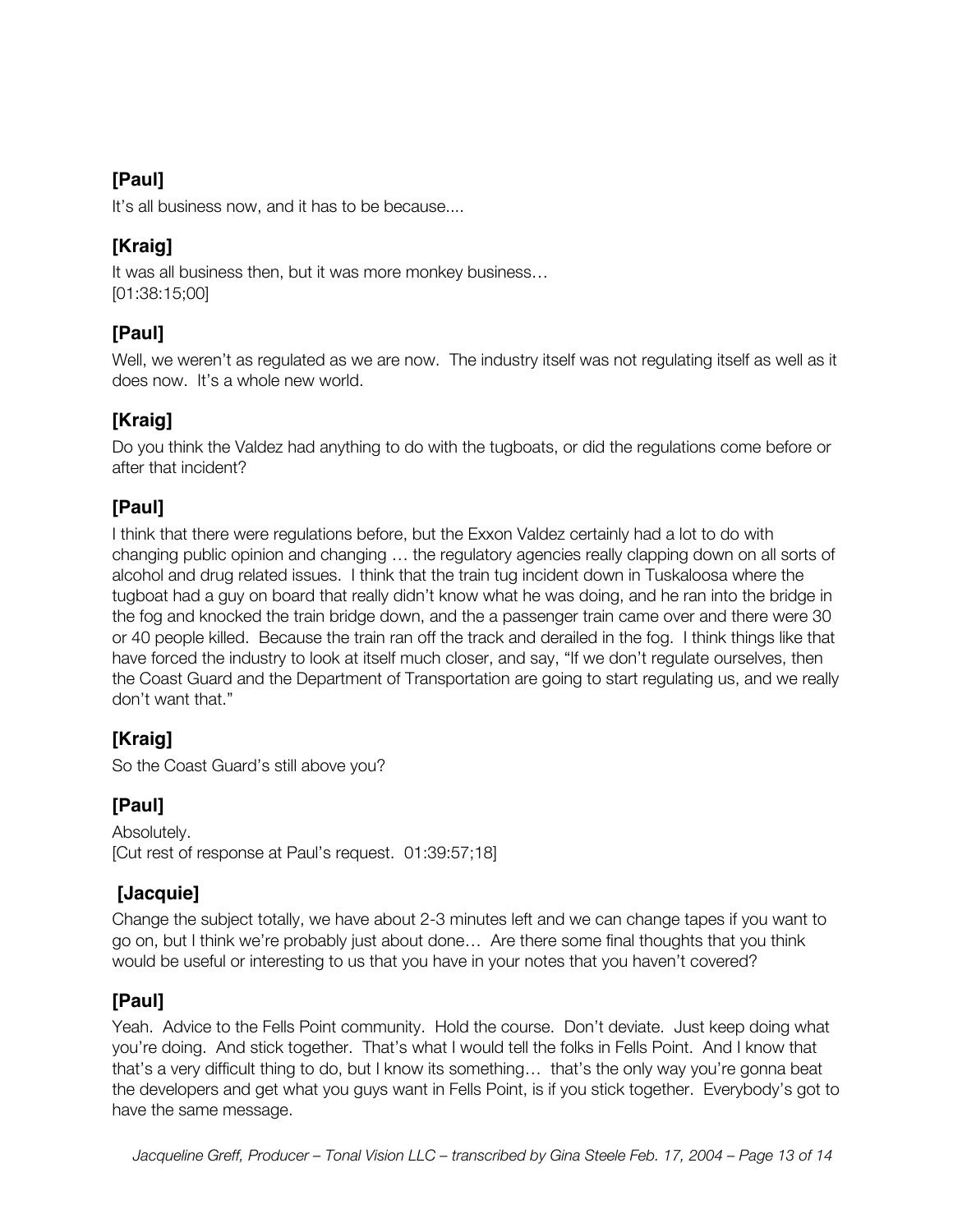It's all business now, and it has to be because....

# **[Kraig]**

It was all business then, but it was more monkey business… [01:38:15;00]

# **[Paul]**

Well, we weren't as regulated as we are now. The industry itself was not regulating itself as well as it does now. It's a whole new world.

# **[Kraig]**

Do you think the Valdez had anything to do with the tugboats, or did the regulations come before or after that incident?

# **[Paul]**

I think that there were regulations before, but the Exxon Valdez certainly had a lot to do with changing public opinion and changing … the regulatory agencies really clapping down on all sorts of alcohol and drug related issues. I think that the train tug incident down in Tuskaloosa where the tugboat had a guy on board that really didn't know what he was doing, and he ran into the bridge in the fog and knocked the train bridge down, and the a passenger train came over and there were 30 or 40 people killed. Because the train ran off the track and derailed in the fog. I think things like that have forced the industry to look at itself much closer, and say, "If we don't regulate ourselves, then the Coast Guard and the Department of Transportation are going to start regulating us, and we really don't want that."

# **[Kraig]**

So the Coast Guard's still above you?

# **[Paul]**

Absolutely. [Cut rest of response at Paul's request. 01:39:57;18]

# **[Jacquie]**

Change the subject totally, we have about 2-3 minutes left and we can change tapes if you want to go on, but I think we're probably just about done… Are there some final thoughts that you think would be useful or interesting to us that you have in your notes that you haven't covered?

## **[Paul]**

Yeah. Advice to the Fells Point community. Hold the course. Don't deviate. Just keep doing what you're doing. And stick together. That's what I would tell the folks in Fells Point. And I know that that's a very difficult thing to do, but I know its something… that's the only way you're gonna beat the developers and get what you guys want in Fells Point, is if you stick together. Everybody's got to have the same message.